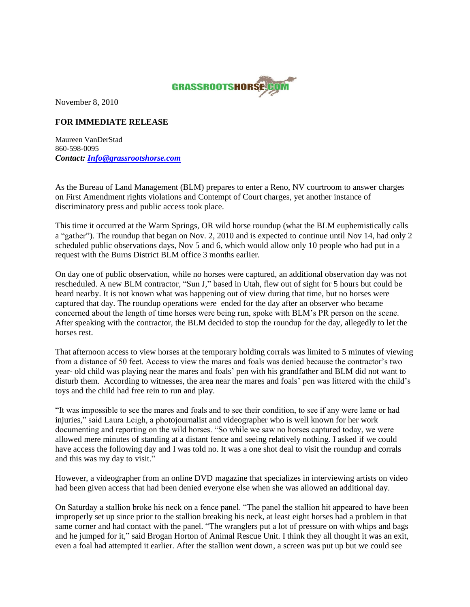

November 8, 2010

## **FOR IMMEDIATE RELEASE**

Maureen VanDerStad 860-598-0095 *Contact: [Info@grassrootshorse.com](mailto:Info@grassrootshorse.com)*

As the Bureau of Land Management (BLM) prepares to enter a Reno, NV courtroom to answer charges on First Amendment rights violations and Contempt of Court charges, yet another instance of discriminatory press and public access took place.

This time it occurred at the Warm Springs, OR wild horse roundup (what the BLM euphemistically calls a "gather"). The roundup that began on Nov. 2, 2010 and is expected to continue until Nov 14, had only 2 scheduled public observations days, Nov 5 and 6, which would allow only 10 people who had put in a request with the Burns District BLM office 3 months earlier.

On day one of public observation, while no horses were captured, an additional observation day was not rescheduled. A new BLM contractor, "Sun J," based in Utah, flew out of sight for 5 hours but could be heard nearby. It is not known what was happening out of view during that time, but no horses were captured that day. The roundup operations were ended for the day after an observer who became concerned about the length of time horses were being run, spoke with BLM's PR person on the scene. After speaking with the contractor, the BLM decided to stop the roundup for the day, allegedly to let the horses rest.

That afternoon access to view horses at the temporary holding corrals was limited to 5 minutes of viewing from a distance of 50 feet. Access to view the mares and foals was denied because the contractor's two year- old child was playing near the mares and foals' pen with his grandfather and BLM did not want to disturb them. According to witnesses, the area near the mares and foals' pen was littered with the child's toys and the child had free rein to run and play.

"It was impossible to see the mares and foals and to see their condition, to see if any were lame or had injuries," said Laura Leigh, a photojournalist and videographer who is well known for her work documenting and reporting on the wild horses. "So while we saw no horses captured today, we were allowed mere minutes of standing at a distant fence and seeing relatively nothing. I asked if we could have access the following day and I was told no. It was a one shot deal to visit the roundup and corrals and this was my day to visit."

However, a videographer from an online DVD magazine that specializes in interviewing artists on video had been given access that had been denied everyone else when she was allowed an additional day.

On Saturday a stallion broke his neck on a fence panel. "The panel the stallion hit appeared to have been improperly set up since prior to the stallion breaking his neck, at least eight horses had a problem in that same corner and had contact with the panel. "The wranglers put a lot of pressure on with whips and bags and he jumped for it," said Brogan Horton of Animal Rescue Unit. I think they all thought it was an exit, even a foal had attempted it earlier. After the stallion went down, a screen was put up but we could see